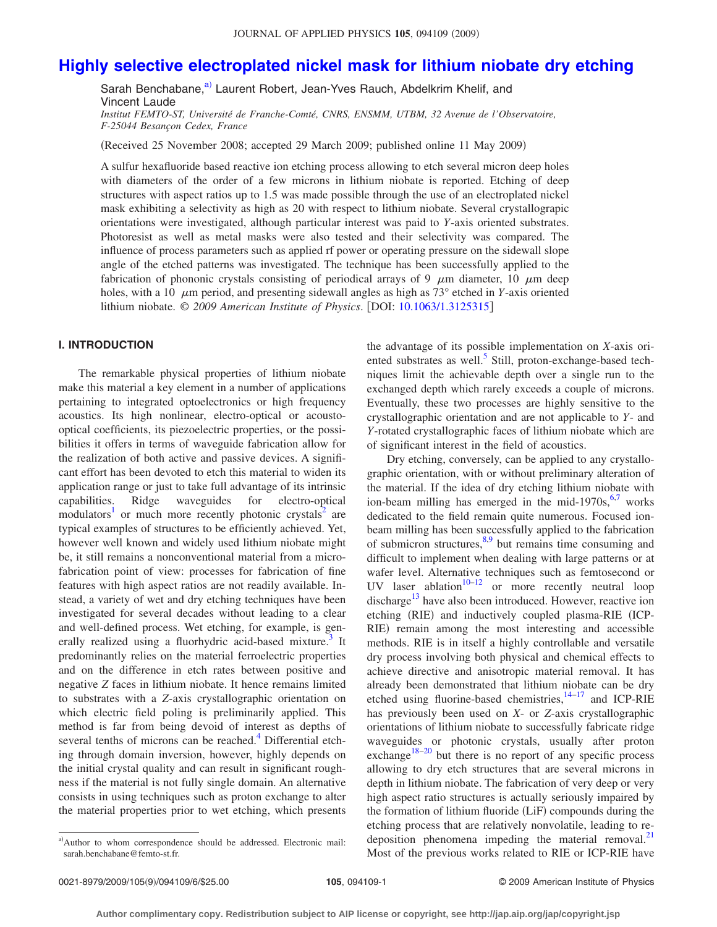# **[Highly selective electroplated nickel mask for lithium niobate dry etching](http://dx.doi.org/10.1063/1.3125315)**

Sarah Benchabane,<sup>a)</sup> Laurent Robert, Jean-Yves Rauch, Abdelkrim Khelif, and Vincent Laude

*Institut FEMTO-ST, Université de Franche-Comté, CNRS, ENSMM, UTBM, 32 Avenue de l'Observatoire, F-25044 Besançon Cedex, France*

(Received 25 November 2008; accepted 29 March 2009; published online 11 May 2009)

A sulfur hexafluoride based reactive ion etching process allowing to etch several micron deep holes with diameters of the order of a few microns in lithium niobate is reported. Etching of deep structures with aspect ratios up to 1.5 was made possible through the use of an electroplated nickel mask exhibiting a selectivity as high as 20 with respect to lithium niobate. Several crystallograpic orientations were investigated, although particular interest was paid to *Y*-axis oriented substrates. Photoresist as well as metal masks were also tested and their selectivity was compared. The influence of process parameters such as applied rf power or operating pressure on the sidewall slope angle of the etched patterns was investigated. The technique has been successfully applied to the fabrication of phononic crystals consisting of periodical arrays of 9  $\mu$ m diameter, 10  $\mu$ m deep holes, with a 10  $\mu$ m period, and presenting sidewall angles as high as 73° etched in *Y*-axis oriented lithium niobate. © *2009 American Institute of Physics*. DOI: [10.1063/1.3125315](http://dx.doi.org/10.1063/1.3125315)

## **I. INTRODUCTION**

The remarkable physical properties of lithium niobate make this material a key element in a number of applications pertaining to integrated optoelectronics or high frequency acoustics. Its high nonlinear, electro-optical or acoustooptical coefficients, its piezoelectric properties, or the possibilities it offers in terms of waveguide fabrication allow for the realization of both active and passive devices. A significant effort has been devoted to etch this material to widen its application range or just to take full advantage of its intrinsic capabilities. Ridge waveguides for electro-optical modulators<sup>1</sup> or much more recently photonic crystals<sup>2</sup> are typical examples of structures to be efficiently achieved. Yet, however well known and widely used lithium niobate might be, it still remains a nonconventional material from a microfabrication point of view: processes for fabrication of fine features with high aspect ratios are not readily available. Instead, a variety of wet and dry etching techniques have been investigated for several decades without leading to a clear and well-defined process. Wet etching, for example, is generally realized using a fluorhydric acid-based mixture.<sup>3</sup> It predominantly relies on the material ferroelectric properties and on the difference in etch rates between positive and negative *Z* faces in lithium niobate. It hence remains limited to substrates with a *Z*-axis crystallographic orientation on which electric field poling is preliminarily applied. This method is far from being devoid of interest as depths of several tenths of microns can be reached.<sup>4</sup> Differential etching through domain inversion, however, highly depends on the initial crystal quality and can result in significant roughness if the material is not fully single domain. An alternative consists in using techniques such as proton exchange to alter the material properties prior to wet etching, which presents

<span id="page-0-0"></span>a)Author to whom correspondence should be addressed. Electronic mail: sarah.benchabane@femto-st.fr.

the advantage of its possible implementation on *X*-axis oriented substrates as well.<sup>5</sup> Still, proton-exchange-based techniques limit the achievable depth over a single run to the exchanged depth which rarely exceeds a couple of microns. Eventually, these two processes are highly sensitive to the crystallographic orientation and are not applicable to *Y*- and *Y*-rotated crystallographic faces of lithium niobate which are of significant interest in the field of acoustics.

Dry etching, conversely, can be applied to any crystallographic orientation, with or without preliminary alteration of the material. If the idea of dry etching lithium niobate with ion-beam milling has emerged in the mid-19[7](#page-5-6)0s,  $6.7$  works dedicated to the field remain quite numerous. Focused ionbeam milling has been successfully applied to the fabrication of submicron structures, $8,9$  $8,9$  but remains time consuming and difficult to implement when dealing with large patterns or at wafer level. Alternative techniques such as femtosecond or UV laser ablation $10^{-12}$  or more recently neutral loop discharge<sup>13</sup> have also been introduced. However, reactive ion etching (RIE) and inductively coupled plasma-RIE (ICP-RIE) remain among the most interesting and accessible methods. RIE is in itself a highly controllable and versatile dry process involving both physical and chemical effects to achieve directive and anisotropic material removal. It has already been demonstrated that lithium niobate can be dry etched using fluorine-based chemistries, $14-17$  and ICP-RIE has previously been used on *X*- or *Z*-axis crystallographic orientations of lithium niobate to successfully fabricate ridge waveguides or photonic crystals, usually after proton exchange<sup>18[–20](#page-5-14)</sup> but there is no report of any specific process allowing to dry etch structures that are several microns in depth in lithium niobate. The fabrication of very deep or very high aspect ratio structures is actually seriously impaired by the formation of lithium fluoride (LiF) compounds during the etching process that are relatively nonvolatile, leading to redeposition phenomena impeding the material removal. $^{21}$ Most of the previous works related to RIE or ICP-RIE have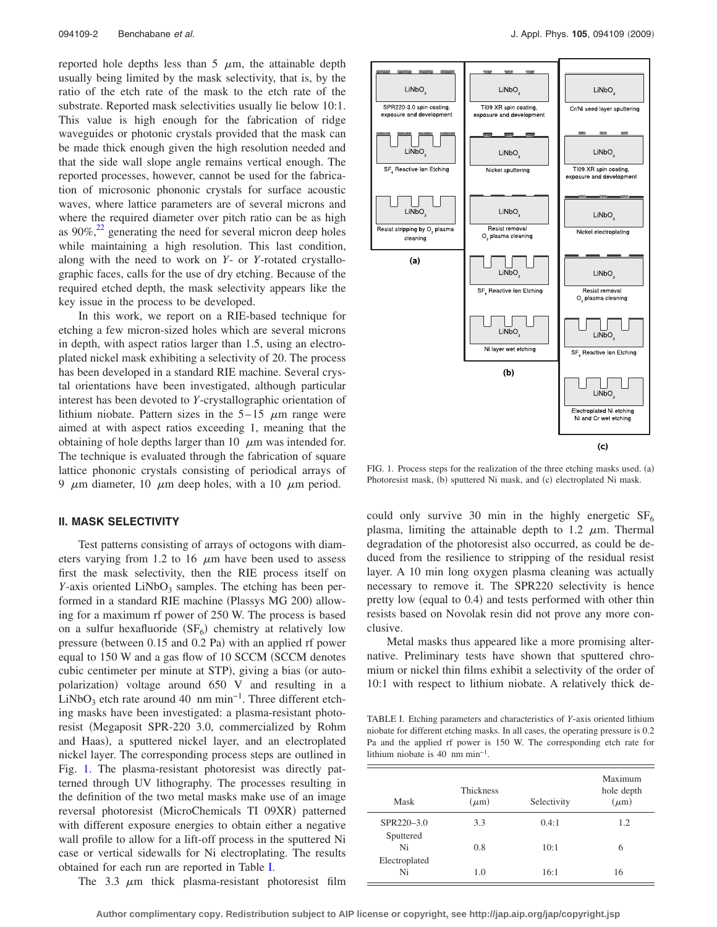reported hole depths less than 5  $\mu$ m, the attainable depth usually being limited by the mask selectivity, that is, by the ratio of the etch rate of the mask to the etch rate of the substrate. Reported mask selectivities usually lie below 10:1. This value is high enough for the fabrication of ridge waveguides or photonic crystals provided that the mask can be made thick enough given the high resolution needed and that the side wall slope angle remains vertical enough. The reported processes, however, cannot be used for the fabrication of microsonic phononic crystals for surface acoustic waves, where lattice parameters are of several microns and where the required diameter over pitch ratio can be as high as  $90\%$ ,<sup>22</sup> generating the need for several micron deep holes while maintaining a high resolution. This last condition, along with the need to work on *Y*- or *Y*-rotated crystallographic faces, calls for the use of dry etching. Because of the required etched depth, the mask selectivity appears like the key issue in the process to be developed.

In this work, we report on a RIE-based technique for etching a few micron-sized holes which are several microns in depth, with aspect ratios larger than 1.5, using an electroplated nickel mask exhibiting a selectivity of 20. The process has been developed in a standard RIE machine. Several crystal orientations have been investigated, although particular interest has been devoted to *Y*-crystallographic orientation of lithium niobate. Pattern sizes in the  $5-15 \mu m$  range were aimed at with aspect ratios exceeding 1, meaning that the obtaining of hole depths larger than  $10 \mu m$  was intended for. The technique is evaluated through the fabrication of square lattice phononic crystals consisting of periodical arrays of 9  $\mu$ m diameter, 10  $\mu$ m deep holes, with a 10  $\mu$ m period.

### **II. MASK SELECTIVITY**

Test patterns consisting of arrays of octogons with diameters varying from 1.2 to 16  $\mu$ m have been used to assess first the mask selectivity, then the RIE process itself on *Y*-axis oriented LiNbO<sub>3</sub> samples. The etching has been performed in a standard RIE machine (Plassys MG 200) allowing for a maximum rf power of 250 W. The process is based on a sulfur hexafluoride  $(SF_6)$  chemistry at relatively low pressure (between 0.15 and 0.2 Pa) with an applied rf power equal to 150 W and a gas flow of 10 SCCM (SCCM denotes cubic centimeter per minute at STP), giving a bias (or autopolarization) voltage around 650 V and resulting in a LiNbO<sub>3</sub> etch rate around 40 nm min<sup>-1</sup>. Three different etching masks have been investigated: a plasma-resistant photoresist Megaposit SPR-220 3.0, commercialized by Rohm and Haas), a sputtered nickel layer, and an electroplated nickel layer. The corresponding process steps are outlined in Fig. [1.](#page-1-0) The plasma-resistant photoresist was directly patterned through UV lithography. The processes resulting in the definition of the two metal masks make use of an image reversal photoresist (MicroChemicals TI 09XR) patterned with different exposure energies to obtain either a negative wall profile to allow for a lift-off process in the sputtered Ni case or vertical sidewalls for Ni electroplating. The results obtained for each run are reported in Table [I.](#page-1-1)

The 3.3  $\mu$ m thick plasma-resistant photoresist film

<span id="page-1-0"></span>

FIG. 1. Process steps for the realization of the three etching masks used. (a) Photoresist mask, (b) sputtered Ni mask, and (c) electroplated Ni mask.

could only survive 30 min in the highly energetic  $SF<sub>6</sub>$ plasma, limiting the attainable depth to 1.2  $\mu$ m. Thermal degradation of the photoresist also occurred, as could be deduced from the resilience to stripping of the residual resist layer. A 10 min long oxygen plasma cleaning was actually necessary to remove it. The SPR220 selectivity is hence pretty low (equal to 0.4) and tests performed with other thin resists based on Novolak resin did not prove any more conclusive.

Metal masks thus appeared like a more promising alternative. Preliminary tests have shown that sputtered chromium or nickel thin films exhibit a selectivity of the order of 10:1 with respect to lithium niobate. A relatively thick de-

<span id="page-1-1"></span>TABLE I. Etching parameters and characteristics of *Y*-axis oriented lithium niobate for different etching masks. In all cases, the operating pressure is 0.2 Pa and the applied rf power is 150 W. The corresponding etch rate for lithium niobate is 40 nm min−1.

| Mask                | <b>Thickness</b><br>$(\mu m)$ | Selectivity | Maximum<br>hole depth<br>$(\mu m)$ |
|---------------------|-------------------------------|-------------|------------------------------------|
| SPR220-3.0          | 3.3                           | 0.4:1       | 1.2                                |
| Sputtered<br>Ni     | 0.8                           | 10:1        | 6                                  |
| Electroplated<br>Ni | 1.0                           | 16:1        | 16                                 |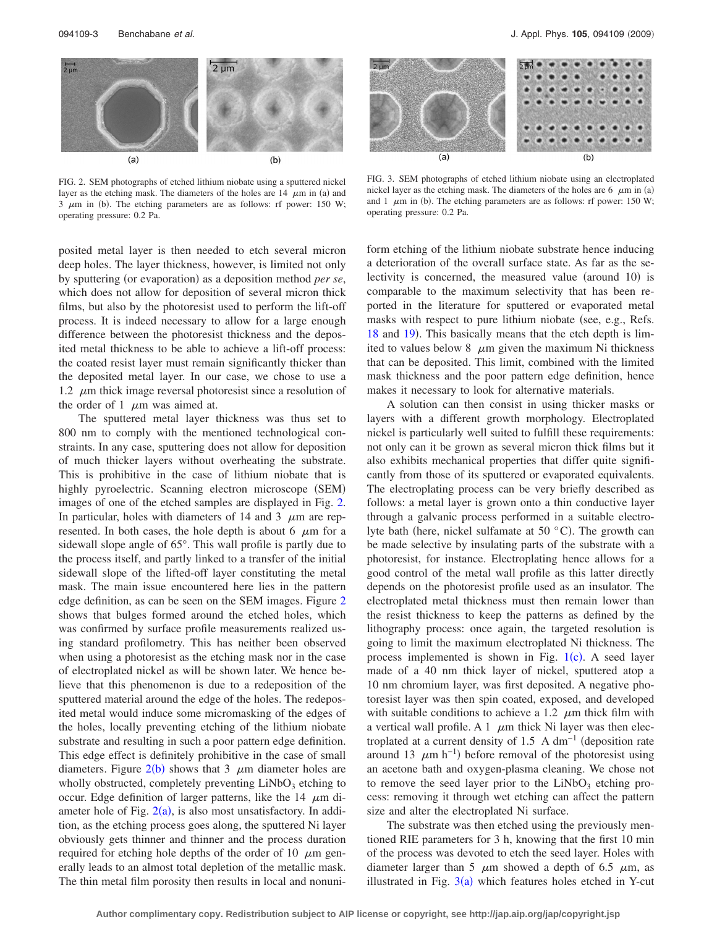<span id="page-2-0"></span>

FIG. 2. SEM photographs of etched lithium niobate using a sputtered nickel layer as the etching mask. The diameters of the holes are  $14 \mu m$  in (a) and  $3 \mu m$  in (b). The etching parameters are as follows: rf power: 150 W; operating pressure: 0.2 Pa.

posited metal layer is then needed to etch several micron deep holes. The layer thickness, however, is limited not only

by sputtering (or evaporation) as a deposition method *per se*, which does not allow for deposition of several micron thick films, but also by the photoresist used to perform the lift-off process. It is indeed necessary to allow for a large enough difference between the photoresist thickness and the deposited metal thickness to be able to achieve a lift-off process: the coated resist layer must remain significantly thicker than the deposited metal layer. In our case, we chose to use a 1.2  $\mu$ m thick image reversal photoresist since a resolution of the order of 1  $\mu$ m was aimed at.

The sputtered metal layer thickness was thus set to 800 nm to comply with the mentioned technological constraints. In any case, sputtering does not allow for deposition of much thicker layers without overheating the substrate. This is prohibitive in the case of lithium niobate that is highly pyroelectric. Scanning electron microscope (SEM) images of one of the etched samples are displayed in Fig. [2.](#page-2-0) In particular, holes with diameters of 14 and 3  $\mu$ m are represented. In both cases, the hole depth is about 6  $\mu$ m for a sidewall slope angle of 65°. This wall profile is partly due to the process itself, and partly linked to a transfer of the initial sidewall slope of the lifted-off layer constituting the metal mask. The main issue encountered here lies in the pattern edge definition, as can be seen on the SEM images. Figure [2](#page-2-0) shows that bulges formed around the etched holes, which was confirmed by surface profile measurements realized using standard profilometry. This has neither been observed when using a photoresist as the etching mask nor in the case of electroplated nickel as will be shown later. We hence believe that this phenomenon is due to a redeposition of the sputtered material around the edge of the holes. The redeposited metal would induce some micromasking of the edges of the holes, locally preventing etching of the lithium niobate substrate and resulting in such a poor pattern edge definition. This edge effect is definitely prohibitive in the case of small diameters. Figure  $2(b)$  $2(b)$  shows that 3  $\mu$ m diameter holes are wholly obstructed, completely preventing  $LiNbO<sub>3</sub>$  etching to occur. Edge definition of larger patterns, like the  $14 \mu m$  diameter hole of Fig.  $2(a)$  $2(a)$ , is also most unsatisfactory. In addition, as the etching process goes along, the sputtered Ni layer obviously gets thinner and thinner and the process duration required for etching hole depths of the order of 10  $\mu$ m generally leads to an almost total depletion of the metallic mask. The thin metal film porosity then results in local and nonuni-

<span id="page-2-1"></span>

FIG. 3. SEM photographs of etched lithium niobate using an electroplated nickel layer as the etching mask. The diameters of the holes are  $6 \mu m$  in (a) and 1  $\mu$ m in (b). The etching parameters are as follows: rf power: 150 W; operating pressure: 0.2 Pa.

form etching of the lithium niobate substrate hence inducing a deterioration of the overall surface state. As far as the selectivity is concerned, the measured value (around 10) is comparable to the maximum selectivity that has been reported in the literature for sputtered or evaporated metal masks with respect to pure lithium niobate (see, e.g., Refs. [18](#page-5-13) and [19](#page-5-17)). This basically means that the etch depth is limited to values below 8  $\mu$ m given the maximum Ni thickness that can be deposited. This limit, combined with the limited mask thickness and the poor pattern edge definition, hence makes it necessary to look for alternative materials.

A solution can then consist in using thicker masks or layers with a different growth morphology. Electroplated nickel is particularly well suited to fulfill these requirements: not only can it be grown as several micron thick films but it also exhibits mechanical properties that differ quite significantly from those of its sputtered or evaporated equivalents. The electroplating process can be very briefly described as follows: a metal layer is grown onto a thin conductive layer through a galvanic process performed in a suitable electrolyte bath (here, nickel sulfamate at 50 $\degree$ C). The growth can be made selective by insulating parts of the substrate with a photoresist, for instance. Electroplating hence allows for a good control of the metal wall profile as this latter directly depends on the photoresist profile used as an insulator. The electroplated metal thickness must then remain lower than the resist thickness to keep the patterns as defined by the lithography process: once again, the targeted resolution is going to limit the maximum electroplated Ni thickness. The process implemented is shown in Fig.  $1(c)$  $1(c)$ . A seed layer made of a 40 nm thick layer of nickel, sputtered atop a 10 nm chromium layer, was first deposited. A negative photoresist layer was then spin coated, exposed, and developed with suitable conditions to achieve a 1.2  $\mu$ m thick film with a vertical wall profile. A 1  $\mu$ m thick Ni layer was then electroplated at a current density of 1.5 A dm<sup>-1</sup> (deposition rate around 13  $\mu$ m h<sup>-1</sup>) before removal of the photoresist using an acetone bath and oxygen-plasma cleaning. We chose not to remove the seed layer prior to the  $LiNbO<sub>3</sub>$  etching process: removing it through wet etching can affect the pattern size and alter the electroplated Ni surface.

The substrate was then etched using the previously mentioned RIE parameters for 3 h, knowing that the first 10 min of the process was devoted to etch the seed layer. Holes with diameter larger than 5  $\mu$ m showed a depth of 6.5  $\mu$ m, as illustrated in Fig.  $3(a)$  $3(a)$  which features holes etched in Y-cut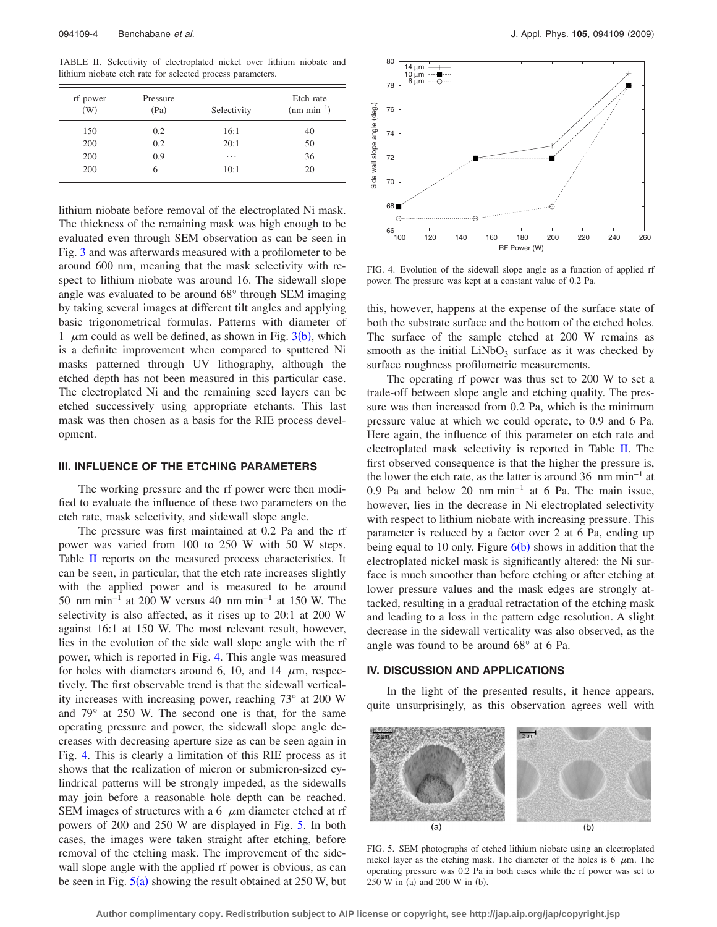<span id="page-3-0"></span>TABLE II. Selectivity of electroplated nickel over lithium niobate and lithium niobate etch rate for selected process parameters.

| rf power<br>(W) | Pressure<br>(Pa) | Selectivity | Etch rate<br>$(nm min-1)$ |
|-----------------|------------------|-------------|---------------------------|
| 150             | 0.2              | 16:1        | 40                        |
| 200             | 0.2              | 20:1        | 50                        |
| 200             | 0.9              | .           | 36                        |
| 200             |                  | 10:1        | 20                        |

lithium niobate before removal of the electroplated Ni mask. The thickness of the remaining mask was high enough to be evaluated even through SEM observation as can be seen in Fig. [3](#page-2-1) and was afterwards measured with a profilometer to be around 600 nm, meaning that the mask selectivity with respect to lithium niobate was around 16. The sidewall slope angle was evaluated to be around 68° through SEM imaging by taking several images at different tilt angles and applying basic trigonometrical formulas. Patterns with diameter of 1  $\mu$ m could as well [b](#page-2-1)e defined, as shown in Fig. 3(b), which is a definite improvement when compared to sputtered Ni masks patterned through UV lithography, although the etched depth has not been measured in this particular case. The electroplated Ni and the remaining seed layers can be etched successively using appropriate etchants. This last mask was then chosen as a basis for the RIE process development.

## **III. INFLUENCE OF THE ETCHING PARAMETERS**

The working pressure and the rf power were then modified to evaluate the influence of these two parameters on the etch rate, mask selectivity, and sidewall slope angle.

The pressure was first maintained at 0.2 Pa and the rf power was varied from 100 to 250 W with 50 W steps. Table [II](#page-3-0) reports on the measured process characteristics. It can be seen, in particular, that the etch rate increases slightly with the applied power and is measured to be around 50 nm min−1 at 200 W versus 40 nm min−1 at 150 W. The selectivity is also affected, as it rises up to 20:1 at 200 W against 16:1 at 150 W. The most relevant result, however, lies in the evolution of the side wall slope angle with the rf power, which is reported in Fig. [4.](#page-3-1) This angle was measured for holes with diameters around 6, 10, and 14  $\mu$ m, respectively. The first observable trend is that the sidewall verticality increases with increasing power, reaching 73° at 200 W and 79° at 250 W. The second one is that, for the same operating pressure and power, the sidewall slope angle decreases with decreasing aperture size as can be seen again in Fig. [4.](#page-3-1) This is clearly a limitation of this RIE process as it shows that the realization of micron or submicron-sized cylindrical patterns will be strongly impeded, as the sidewalls may join before a reasonable hole depth can be reached. SEM images of structures with a 6  $\mu$ m diameter etched at rf powers of 200 and 250 W are displayed in Fig. [5.](#page-3-2) In both cases, the images were taken straight after etching, before removal of the etching mask. The improvement of the sidewall slope angle with the applied rf power is obvious, as can be seen in Fig.  $5(a)$  $5(a)$  showing the result obtained at 250 W, but

<span id="page-3-1"></span>

FIG. 4. Evolution of the sidewall slope angle as a function of applied rf power. The pressure was kept at a constant value of 0.2 Pa.

this, however, happens at the expense of the surface state of both the substrate surface and the bottom of the etched holes. The surface of the sample etched at 200 W remains as smooth as the initial  $LiNbO<sub>3</sub>$  surface as it was checked by surface roughness profilometric measurements.

The operating rf power was thus set to 200 W to set a trade-off between slope angle and etching quality. The pressure was then increased from 0.2 Pa, which is the minimum pressure value at which we could operate, to 0.9 and 6 Pa. Here again, the influence of this parameter on etch rate and electroplated mask selectivity is reported in Table [II.](#page-3-0) The first observed consequence is that the higher the pressure is, the lower the etch rate, as the latter is around 36 nm min−1 at 0.9 Pa and below 20 nm min−1 at 6 Pa. The main issue, however, lies in the decrease in Ni electroplated selectivity with respect to lithium niobate with increasing pressure. This parameter is reduced by a factor over 2 at 6 Pa, ending up being equal to 10 only. Figure  $6(b)$  $6(b)$  shows in addition that the electroplated nickel mask is significantly altered: the Ni surface is much smoother than before etching or after etching at lower pressure values and the mask edges are strongly attacked, resulting in a gradual retractation of the etching mask and leading to a loss in the pattern edge resolution. A slight decrease in the sidewall verticality was also observed, as the angle was found to be around 68° at 6 Pa.

## **IV. DISCUSSION AND APPLICATIONS**

In the light of the presented results, it hence appears, quite unsurprisingly, as this observation agrees well with

<span id="page-3-2"></span>

FIG. 5. SEM photographs of etched lithium niobate using an electroplated nickel layer as the etching mask. The diameter of the holes is  $6 \mu m$ . The operating pressure was 0.2 Pa in both cases while the rf power was set to  $250$  W in (a) and  $200$  W in (b).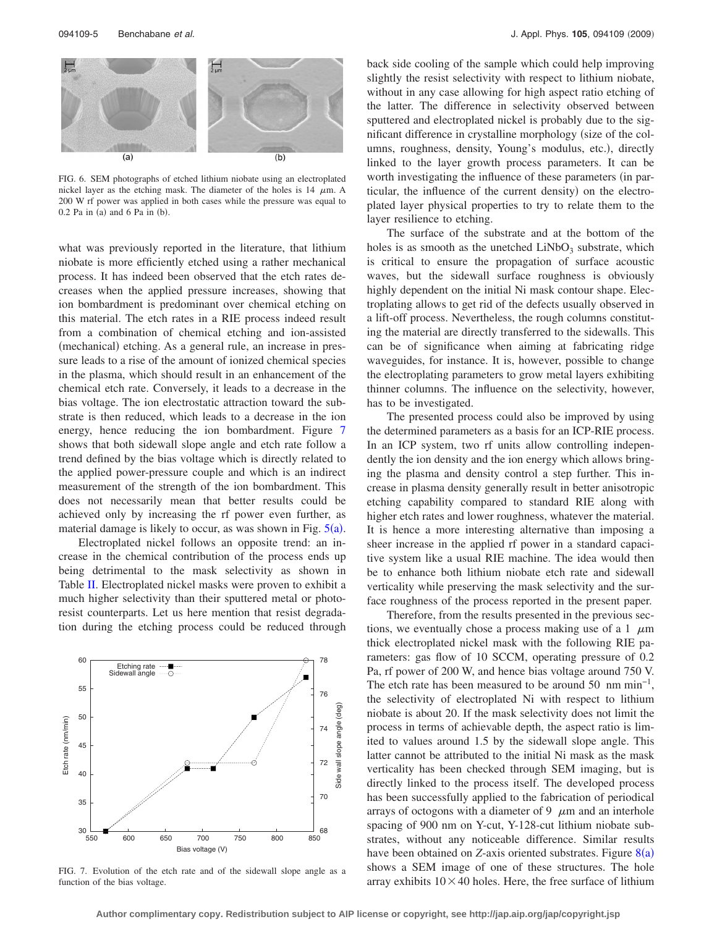<span id="page-4-0"></span>

FIG. 6. SEM photographs of etched lithium niobate using an electroplated nickel layer as the etching mask. The diameter of the holes is  $14 \mu m$ . A 200 W rf power was applied in both cases while the pressure was equal to  $0.2$  Pa in (a) and 6 Pa in (b).

what was previously reported in the literature, that lithium niobate is more efficiently etched using a rather mechanical process. It has indeed been observed that the etch rates decreases when the applied pressure increases, showing that ion bombardment is predominant over chemical etching on this material. The etch rates in a RIE process indeed result from a combination of chemical etching and ion-assisted (mechanical) etching. As a general rule, an increase in pressure leads to a rise of the amount of ionized chemical species in the plasma, which should result in an enhancement of the chemical etch rate. Conversely, it leads to a decrease in the bias voltage. The ion electrostatic attraction toward the substrate is then reduced, which leads to a decrease in the ion energy, hence reducing the ion bombardment. Figure [7](#page-4-1) shows that both sidewall slope angle and etch rate follow a trend defined by the bias voltage which is directly related to the applied power-pressure couple and which is an indirect measurement of the strength of the ion bombardment. This does not necessarily mean that better results could be achieved only by increasing the rf power even further, as material damage is likely to occur, as was shown in Fig.  $5(a)$  $5(a)$ .

Electroplated nickel follows an opposite trend: an increase in the chemical contribution of the process ends up being detrimental to the mask selectivity as shown in Table [II.](#page-3-0) Electroplated nickel masks were proven to exhibit a much higher selectivity than their sputtered metal or photoresist counterparts. Let us here mention that resist degradation during the etching process could be reduced through

<span id="page-4-1"></span>

FIG. 7. Evolution of the etch rate and of the sidewall slope angle as a function of the bias voltage.

back side cooling of the sample which could help improving slightly the resist selectivity with respect to lithium niobate, without in any case allowing for high aspect ratio etching of the latter. The difference in selectivity observed between sputtered and electroplated nickel is probably due to the significant difference in crystalline morphology (size of the columns, roughness, density, Young's modulus, etc.), directly linked to the layer growth process parameters. It can be worth investigating the influence of these parameters (in particular, the influence of the current density) on the electroplated layer physical properties to try to relate them to the layer resilience to etching.

The surface of the substrate and at the bottom of the holes is as smooth as the unetched  $LiNbO<sub>3</sub>$  substrate, which is critical to ensure the propagation of surface acoustic waves, but the sidewall surface roughness is obviously highly dependent on the initial Ni mask contour shape. Electroplating allows to get rid of the defects usually observed in a lift-off process. Nevertheless, the rough columns constituting the material are directly transferred to the sidewalls. This can be of significance when aiming at fabricating ridge waveguides, for instance. It is, however, possible to change the electroplating parameters to grow metal layers exhibiting thinner columns. The influence on the selectivity, however, has to be investigated.

The presented process could also be improved by using the determined parameters as a basis for an ICP-RIE process. In an ICP system, two rf units allow controlling independently the ion density and the ion energy which allows bringing the plasma and density control a step further. This increase in plasma density generally result in better anisotropic etching capability compared to standard RIE along with higher etch rates and lower roughness, whatever the material. It is hence a more interesting alternative than imposing a sheer increase in the applied rf power in a standard capacitive system like a usual RIE machine. The idea would then be to enhance both lithium niobate etch rate and sidewall verticality while preserving the mask selectivity and the surface roughness of the process reported in the present paper.

Therefore, from the results presented in the previous sections, we eventually chose a process making use of a 1  $\mu$ m thick electroplated nickel mask with the following RIE parameters: gas flow of 10 SCCM, operating pressure of 0.2 Pa, rf power of 200 W, and hence bias voltage around 750 V. The etch rate has been measured to be around 50 nm min−1, the selectivity of electroplated Ni with respect to lithium niobate is about 20. If the mask selectivity does not limit the process in terms of achievable depth, the aspect ratio is limited to values around 1.5 by the sidewall slope angle. This latter cannot be attributed to the initial Ni mask as the mask verticality has been checked through SEM imaging, but is directly linked to the process itself. The developed process has been successfully applied to the fabrication of periodical arrays of octogons with a diameter of 9  $\mu$ m and an interhole spacing of 900 nm on Y-cut, Y-128-cut lithium niobate substrates, without any noticeable difference. Similar results have been obtained on *Z*-axis oriented substrates. Figure [8](#page-5-18)(a) shows a SEM image of one of these structures. The hole array exhibits  $10 \times 40$  holes. Here, the free surface of lithium

**Author complimentary copy. Redistribution subject to AIP license or copyright, see http://jap.aip.org/jap/copyright.jsp**